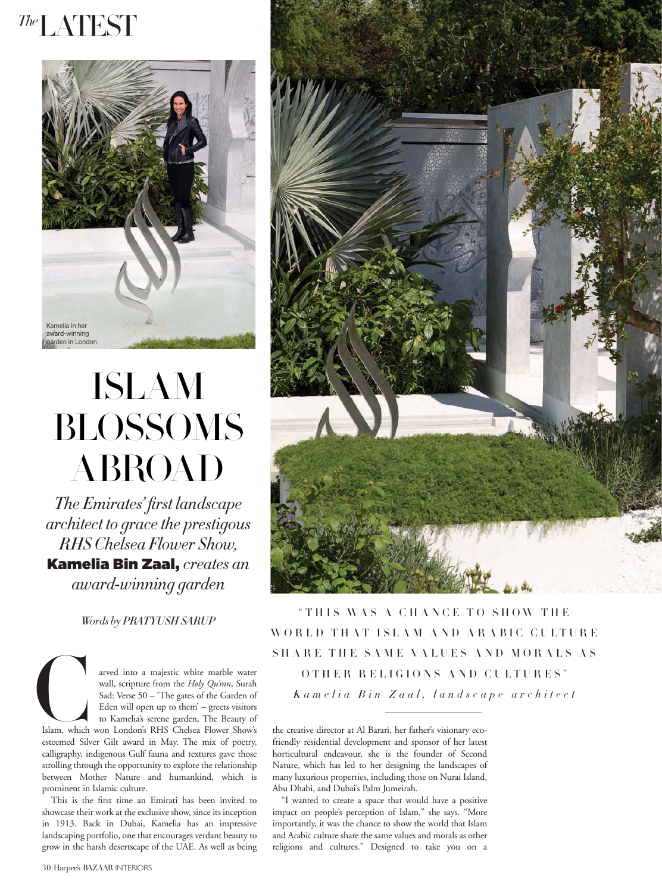## *The*LATEST



## ISLAM BLOSSOMS ABROAD

*The Emirates' fi rst landscape architect to grace the prestigous RHS Chelsea Flower Show,*  Kamelia Bin Zaal, *creates an award-winning garden* 

*Words by PRATYUSH SARUP*

Islam, which<br>esteemed Silv arved into a majestic white marble water wall, scripture from the *Holy Qu'ran*, Surah Sad: Verse 50 – 'The gates of the Garden of Eden will open up to them' – greets visitors to Kamelia's serene garden, The Beauty of Islam, which won London's RHS Chelsea Flower Show's esteemed Silver Gilt award in May. The mix of poetry, calligraphy, indigenous Gulf fauna and textures gave those strolling through the opportunity to explore the relationship between Mother Nature and humankind, which is prominent in Islamic culture.

This is the first time an Emirati has been invited to showcase their work at the exclusive show, since its inception in 1913. Back in Dubai, Kamelia has an impressive landscaping portfolio, one that encourages verdant beauty to grow in the harsh desertscape of the UAE. As well as being



"THIS WAS A CHANCE TO SHOW THE WORLD THAT ISLAM AND ARABIC CULTURE SHARE THE SAME VALUES AND MORALS AS OTHER RELIGIONS AND CULTURES" *Kamelia Bin Zaal, landscape architect*

the creative director at Al Barari, her father's visionary ecofriendly residential development and sponsor of her latest horticultural endeavour, she is the founder of Second Nature, which has led to her designing the landscapes of many luxurious properties, including those on Nurai Island, Abu Dhabi, and Dubai's Palm Jumeirah.

"I wanted to create a space that would have a positive impact on people's perception of Islam," she says. "More importantly, it was the chance to show the world that Islam and Arabic culture share the same values and morals as other religions and cultures." Designed to take you on a